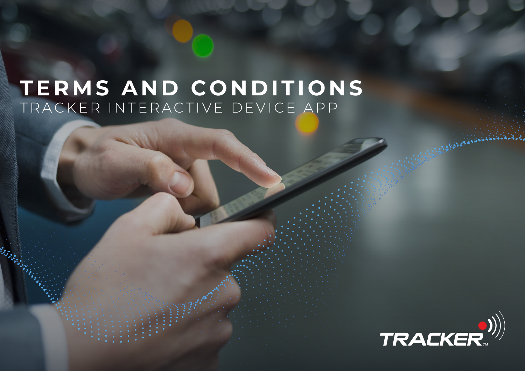# **TERMS AND CONDITIONS** TRACKER INTERACTIVE DEVICE APP

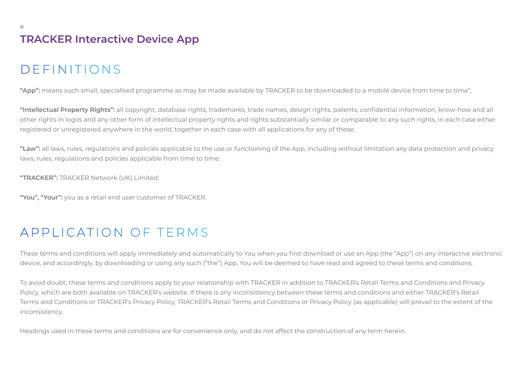# **TRACKER Interactive Device App**

# DEFINITIONS

**"App":** means such small, specialised programme as may be made available by TRACKER to be downloaded to a mobile device from time to time";

**"Intellectual Property Rights":** all copyright, database rights, trademarks, trade names, design rights, patents, confidential information, know-how and all other rights in logos and any other form of intellectual property rights and rights substantially similar or comparable to any such rights, in each case either registered or unregistered anywhere in the world, together in each case with all applications for any of these;

**"Law":** all laws, rules, regulations and policies applicable to the use or functioning of the App, including without limitation any data protection and privacy laws, rules, regulations and policies applicable from time to time;

**"TRACKER":** TRACKER Network (UK) Limited;

**"You", "Your":** you as a retail end user customer of TRACKER.

### APPLICATION OF TERMS

These terms and conditions will apply immediately and automatically to You when you first download or use an App (the "App") on any interactive electronic device, and accordingly, by downloading or using any such ("the") App, You will be deemed to have read and agreed to these terms and conditions.

To avoid doubt, these terms and conditions apply to your relationship with TRACKER in addition to TRACKER's Retail Terms and Conditions and Privacy Policy, which are both available on TRACKER's website. If there is any inconsistency between these terms and conditions and either TRACKER's Retail Terms and Conditions or TRACKER's Privacy Policy, TRACKER's Retail Terms and Conditions or Privacy Policy (as applicable) will prevail to the extent of the inconsistency.

Headings used in these terms and conditions are for convenience only, and do not affect the construction of any term herein.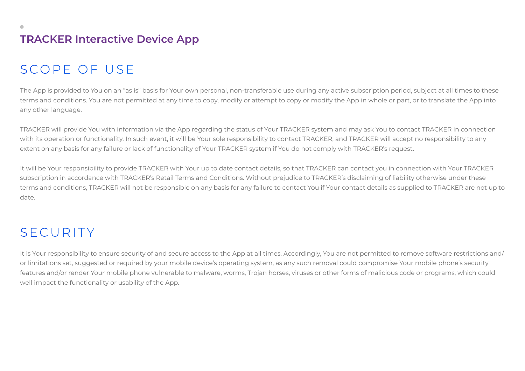# **TRACKER Interactive Device App**

## SCOPE OF USE

The App is provided to You on an "as is" basis for Your own personal, non-transferable use during any active subscription period, subject at all times to these terms and conditions. You are not permitted at any time to copy, modify or attempt to copy or modify the App in whole or part, or to translate the App into any other language.

TRACKER will provide You with information via the App regarding the status of Your TRACKER system and may ask You to contact TRACKER in connection with its operation or functionality. In such event, it will be Your sole responsibility to contact TRACKER, and TRACKER will accept no responsibility to any extent on any basis for any failure or lack of functionality of Your TRACKER system if You do not comply with TRACKER's request.

It will be Your responsibility to provide TRACKER with Your up to date contact details, so that TRACKER can contact you in connection with Your TRACKER subscription in accordance with TRACKER's Retail Terms and Conditions. Without prejudice to TRACKER's disclaiming of liability otherwise under these terms and conditions, TRACKER will not be responsible on any basis for any failure to contact You if Your contact details as supplied to TRACKER are not up to date.

### SECURITY

It is Your responsibility to ensure security of and secure access to the App at all times. Accordingly, You are not permitted to remove software restrictions and/ or limitations set, suggested or required by your mobile device's operating system, as any such removal could compromise Your mobile phone's security features and/or render Your mobile phone vulnerable to malware, worms, Trojan horses, viruses or other forms of malicious code or programs, which could well impact the functionality or usability of the App.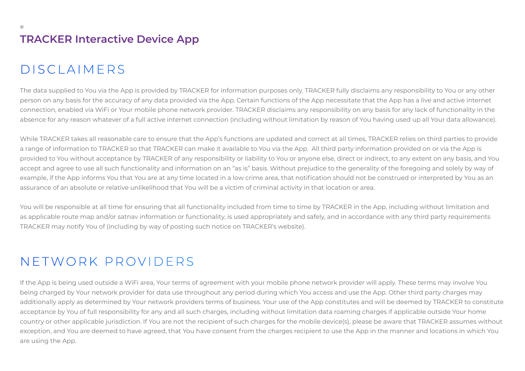# DISCLAIMERS

The data supplied to You via the App is provided by TRACKER for information purposes only. TRACKER fully disclaims any responsibility to You or any other person on any basis for the accuracy of any data provided via the App. Certain functions of the App necessitate that the App has a live and active internet connection, enabled via WiFi or Your mobile phone network provider. TRACKER disclaims any responsibility on any basis for any lack of functionality in the absence for any reason whatever of a full active internet connection (including without limitation by reason of You having used up all Your data allowance).

While TRACKER takes all reasonable care to ensure that the App's functions are updated and correct at all times, TRACKER relies on third parties to provide a range of information to TRACKER so that TRACKER can make it available to You via the App. All third party information provided on or via the App is provided to You without acceptance by TRACKER of any responsibility or liability to You or anyone else, direct or indirect, to any extent on any basis, and You accept and agree to use all such functionality and information on an "as is" basis. Without prejudice to the generality of the foregoing and solely by way of example, if the App informs You that You are at any time located in a low crime area, that notification should not be construed or interpreted by You as an assurance of an absolute or relative unlikelihood that You will be a victim of criminal activity in that location or area.

You will be responsible at all time for ensuring that all functionality included from time to time by TRACKER in the App, including without limitation and as applicable route map and/or satnav information or functionality, is used appropriately and safely, and in accordance with any third party requirements TRACKER may notify You of (including by way of posting such notice on TRACKER's website).

# NETWORK PROVIDERS

If the App is being used outside a WiFi area, Your terms of agreement with your mobile phone network provider will apply. These terms may involve You being charged by Your network provider for data use throughout any period during which You access and use the App. Other third party charges may additionally apply as determined by Your network providers terms of business. Your use of the App constitutes and will be deemed by TRACKER to constitute acceptance by You of full responsibility for any and all such charges, including without limitation data roaming charges if applicable outside Your home country or other applicable jurisdiction. If You are not the recipient of such charges for the mobile device(s), please be aware that TRACKER assumes without exception, and You are deemed to have agreed, that You have consent from the charges recipient to use the App in the manner and locations in which You are using the App.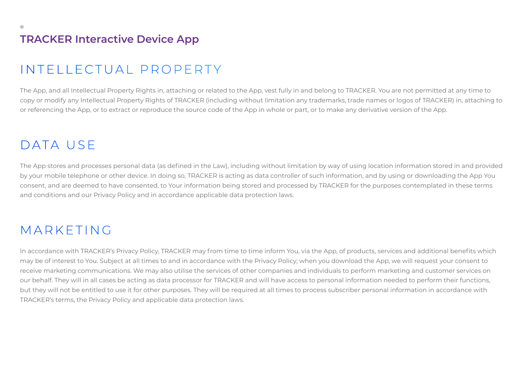### **TRACKER Interactive Device App**

### INTELLECTUAL PROPERTY

The App, and all Intellectual Property Rights in, attaching or related to the App, vest fully in and belong to TRACKER. You are not permitted at any time to copy or modify any Intellectual Property Rights of TRACKER (including without limitation any trademarks, trade names or logos of TRACKER) in, attaching to or referencing the App, or to extract or reproduce the source code of the App in whole or part, or to make any derivative version of the App.

### DATA USE

The App stores and processes personal data (as defined in the Law), including without limitation by way of using location information stored in and provided by your mobile telephone or other device. In doing so, TRACKER is acting as data controller of such information, and by using or downloading the App You consent, and are deemed to have consented, to Your information being stored and processed by TRACKER for the purposes contemplated in these terms and conditions and our Privacy Policy and in accordance applicable data protection laws.

### MARKETING

In accordance with TRACKER's Privacy Policy, TRACKER may from time to time inform You, via the App, of products, services and additional benefits which may be of interest to You. Subject at all times to and in accordance with the Privacy Policy; when you download the App, we will request your consent to receive marketing communications. We may also utilise the services of other companies and individuals to perform marketing and customer services on our behalf. They will in all cases be acting as data processor for TRACKER and will have access to personal information needed to perform their functions, but they will not be entitled to use it for other purposes. They will be required at all times to process subscriber personal information in accordance with TRACKER's terms, the Privacy Policy and applicable data protection laws.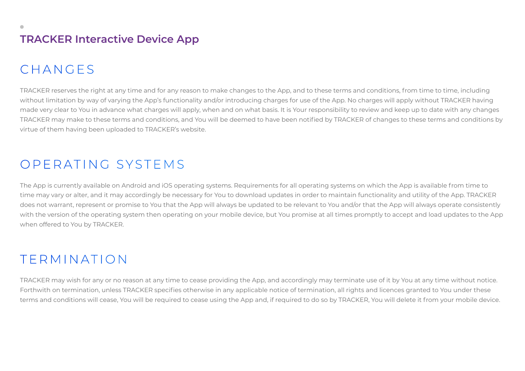# CHANGES

TRACKER reserves the right at any time and for any reason to make changes to the App, and to these terms and conditions, from time to time, including without limitation by way of varying the App's functionality and/or introducing charges for use of the App. No charges will apply without TRACKER having made very clear to You in advance what charges will apply, when and on what basis. It is Your responsibility to review and keep up to date with any changes TRACKER may make to these terms and conditions, and You will be deemed to have been notified by TRACKER of changes to these terms and conditions by virtue of them having been uploaded to TRACKER's website.

### OPERATING SYSTEMS

The App is currently available on Android and iOS operating systems. Requirements for all operating systems on which the App is available from time to time may vary or alter, and it may accordingly be necessary for You to download updates in order to maintain functionality and utility of the App. TRACKER does not warrant, represent or promise to You that the App will always be updated to be relevant to You and/or that the App will always operate consistently with the version of the operating system then operating on your mobile device, but You promise at all times promptly to accept and load updates to the App when offered to You by TRACKER.

### TERMINATION

TRACKER may wish for any or no reason at any time to cease providing the App, and accordingly may terminate use of it by You at any time without notice. Forthwith on termination, unless TRACKER specifies otherwise in any applicable notice of termination, all rights and licences granted to You under these terms and conditions will cease, You will be required to cease using the App and, if required to do so by TRACKER, You will delete it from your mobile device.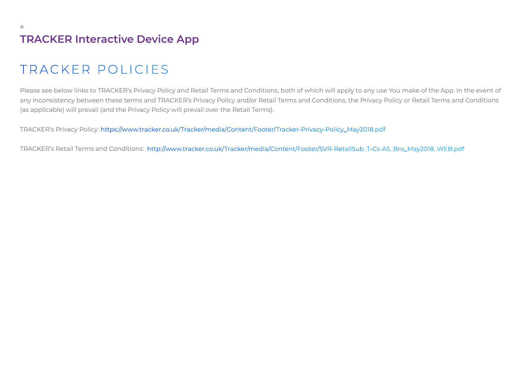# TRACKER POLICIES

Please see below links to TRACKER's Privacy Policy and Retail Terms and Conditions, both of which will apply to any use You make of the App. In the event of any inconsistency between these terms and TRACKER's Privacy Policy and/or Retail Terms and Conditions, the Privacy Policy or Retail Terms and Conditions (as applicable) will prevail (and the Privacy Policy will prevail over the Retail Terms).

TRACKER's Privacy Policy: https://www.tracker.co.uk/Tracker/media/Content/Footer/Tracker-Privacy-Policy\_May2018.pdf

TRACKER's Retail Terms and Conditions: http://www.tracker.co.uk/Tracker/media/Content/Footer/SVR-RetailSub\_T-Cs-A5\_Bro\_May2018\_WEB.pdf